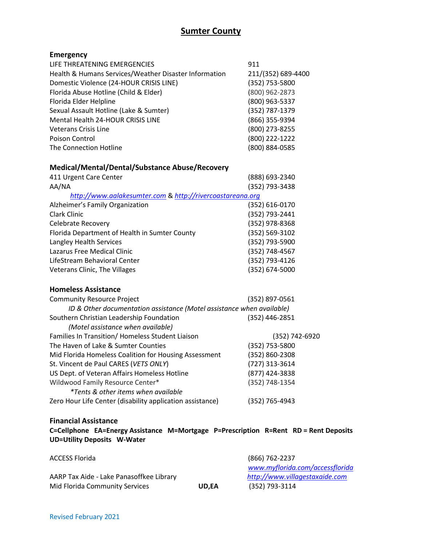# **Sumter County**

# **Emergency**

| LIFE THREATENING EMERGENCIES                          | 911                |
|-------------------------------------------------------|--------------------|
| Health & Humans Services/Weather Disaster Information | 211/(352) 689-4400 |
| Domestic Violence (24-HOUR CRISIS LINE)               | (352) 753-5800     |
| Florida Abuse Hotline (Child & Elder)                 | (800) 962-2873     |
| Florida Elder Helpline                                | (800) 963-5337     |
| Sexual Assault Hotline (Lake & Sumter)                | (352) 787-1379     |
| Mental Health 24-HOUR CRISIS LINE                     | (866) 355-9394     |
| Veterans Crisis Line                                  | (800) 273-8255     |
| Poison Control                                        | (800) 222-1222     |
| The Connection Hotline                                | (800) 884-0585     |
|                                                       |                    |
|                                                       |                    |

# **Medical/Mental/Dental/Substance Abuse/Recovery**

| 411 Urgent Care Center                                    | (888) 693-2340 |
|-----------------------------------------------------------|----------------|
| AA/NA                                                     | (352) 793-3438 |
| http://www.aalakesumter.com & http://rivercoastareana.org |                |
| Alzheimer's Family Organization                           | (352) 616-0170 |
| Clark Clinic                                              | (352) 793-2441 |
| <b>Celebrate Recovery</b>                                 | (352) 978-8368 |
| Florida Department of Health in Sumter County             | (352) 569-3102 |
| Langley Health Services                                   | (352) 793-5900 |
| Lazarus Free Medical Clinic                               | (352) 748-4567 |
| LifeStream Behavioral Center                              | (352) 793-4126 |
| Veterans Clinic, The Villages                             | (352) 674-5000 |

### **Homeless Assistance**

| <b>Community Resource Project</b>                                     | (352) 897-0561 |
|-----------------------------------------------------------------------|----------------|
| ID & Other documentation assistance (Motel assistance when available) |                |
| Southern Christian Leadership Foundation                              | (352) 446-2851 |
| (Motel assistance when available)                                     |                |
| Families In Transition/ Homeless Student Liaison                      | (352) 742-6920 |
| The Haven of Lake & Sumter Counties                                   | (352) 753-5800 |
| Mid Florida Homeless Coalition for Housing Assessment                 | (352) 860-2308 |
| St. Vincent de Paul CARES (VETS ONLY)                                 | (727) 313-3614 |
| US Dept. of Veteran Affairs Homeless Hotline                          | (877) 424-3838 |
| Wildwood Family Resource Center*                                      | (352) 748-1354 |
| <i>*Tents &amp; other items when available</i>                        |                |
| Zero Hour Life Center (disability application assistance)             | (352) 765-4943 |

#### **Financial Assistance**

**C=Cellphone EA=Energy Assistance M=Mortgage P=Prescription R=Rent RD = Rent Deposits UD=Utility Deposits W-Water**

| <b>ACCESS Florida</b>                    |              | (866) 762-2237                  |
|------------------------------------------|--------------|---------------------------------|
|                                          |              | www.myflorida.com/accessflorida |
| AARP Tax Aide - Lake Panasoffkee Library |              | http://www.villagestaxaide.com  |
| Mid Florida Community Services           | <b>UD.EA</b> | (352) 793-3114                  |
|                                          |              |                                 |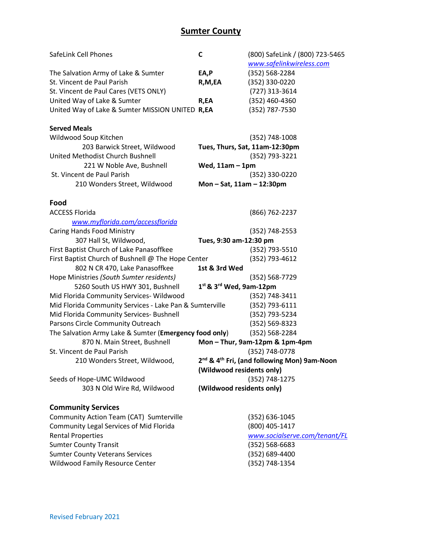# **Sumter County**

| SafeLink Cell Phones                                    | C                             | (800) SafeLink / (800) 723-5465                                     |
|---------------------------------------------------------|-------------------------------|---------------------------------------------------------------------|
|                                                         |                               | www.safelinkwireless.com                                            |
| The Salvation Army of Lake & Sumter                     | EA,P                          | (352) 568-2284                                                      |
| St. Vincent de Paul Parish                              | R,M,EA                        | (352) 330-0220                                                      |
| St. Vincent de Paul Cares (VETS ONLY)                   |                               | (727) 313-3614                                                      |
| United Way of Lake & Sumter                             | R,EA                          | (352) 460-4360                                                      |
| United Way of Lake & Sumter MISSION UNITED R,EA         |                               | (352) 787-7530                                                      |
|                                                         |                               |                                                                     |
| <b>Served Meals</b>                                     |                               |                                                                     |
| Wildwood Soup Kitchen                                   |                               | $(352)$ 748-1008                                                    |
| 203 Barwick Street, Wildwood                            |                               | Tues, Thurs, Sat, 11am-12:30pm                                      |
| United Methodist Church Bushnell                        |                               | (352) 793-3221                                                      |
| 221 W Noble Ave, Bushnell                               | Wed, $11am - 1pm$             |                                                                     |
| St. Vincent de Paul Parish                              |                               | (352) 330-0220                                                      |
| 210 Wonders Street, Wildwood                            | Mon $-$ Sat, 11am $-$ 12:30pm |                                                                     |
|                                                         |                               |                                                                     |
| Food                                                    |                               |                                                                     |
| <b>ACCESS Florida</b>                                   |                               | (866) 762-2237                                                      |
| www.myflorida.com/accessflorida                         |                               |                                                                     |
| <b>Caring Hands Food Ministry</b>                       |                               | $(352)$ 748-2553                                                    |
| 307 Hall St, Wildwood,                                  | Tues, 9:30 am-12:30 pm        |                                                                     |
| First Baptist Church of Lake Panasoffkee                |                               | (352) 793-5510                                                      |
| First Baptist Church of Bushnell @ The Hope Center      |                               | (352) 793-4612                                                      |
| 802 N CR 470, Lake Panasoffkee                          | 1st & 3rd Wed                 |                                                                     |
| Hope Ministries (South Sumter residents)                |                               | (352) 568-7729                                                      |
| 5260 South US HWY 301, Bushnell                         | $1st$ & $3rd$ Wed, 9am-12pm   |                                                                     |
| Mid Florida Community Services- Wildwood                |                               | (352) 748-3411                                                      |
| Mid Florida Community Services - Lake Pan & Sumterville |                               | (352) 793-6111                                                      |
| Mid Florida Community Services- Bushnell                |                               | (352) 793-5234                                                      |
| Parsons Circle Community Outreach                       |                               | $(352) 569 - 8323$                                                  |
| The Salvation Army Lake & Sumter (Emergency food only)  |                               | (352) 568-2284                                                      |
| 870 N. Main Street, Bushnell                            |                               | Mon-Thur, 9am-12pm & 1pm-4pm                                        |
| St. Vincent de Paul Parish                              |                               | (352) 748-0778                                                      |
| 210 Wonders Street, Wildwood,                           |                               | 2 <sup>nd</sup> & 4 <sup>th</sup> Fri, (and following Mon) 9am-Noon |
|                                                         | (Wildwood residents only)     |                                                                     |
| Seeds of Hope-UMC Wildwood                              |                               | (352) 748-1275                                                      |
| 303 N Old Wire Rd, Wildwood                             | (Wildwood residents only)     |                                                                     |
|                                                         |                               |                                                                     |
| <b>Community Services</b>                               |                               |                                                                     |
| Community Action Team (CAT) Sumterville                 |                               | (352) 636-1045                                                      |
| <b>Community Legal Services of Mid Florida</b>          |                               | (800) 405-1417                                                      |
| <b>Rental Properties</b>                                |                               | www.socialserve.com/tenant/FL                                       |
| <b>Sumter County Transit</b>                            |                               | (352) 568-6683                                                      |
| <b>Sumter County Veterans Services</b>                  |                               | (352) 689-4400                                                      |
| <b>Wildwood Family Resource Center</b>                  |                               | (352) 748-1354                                                      |